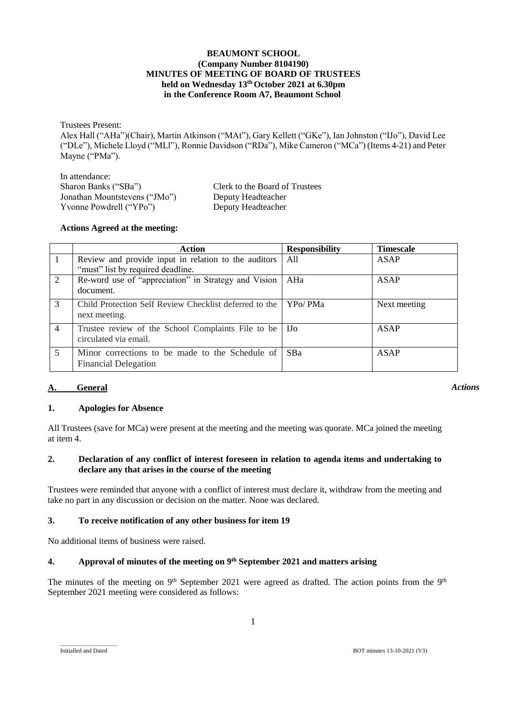### **BEAUMONT SCHOOL (Company Number 8104190) MINUTES OF MEETING OF BOARD OF TRUSTEES held on Wednesday 13th October 2021 at 6.30pm in the Conference Room A7, Beaumont School**

Trustees Present: Alex Hall ("AHa")(Chair), Martin Atkinson ("MAt"), Gary Kellett ("GKe"), Ian Johnston ("IJo"), David Lee ("DLe"), Michele Lloyd ("MLl"), Ronnie Davidson ("RDa"), Mike Cameron ("MCa") (Items 4-21) and Peter Mayne ("PMa").

| Clerk to the Board of Trustees |
|--------------------------------|
| Deputy Headteacher             |
| Deputy Headteacher             |
|                                |

## **Actions Agreed at the meeting:**

|                | Action                                                                                    | <b>Responsibility</b> | <b>Timescale</b> |
|----------------|-------------------------------------------------------------------------------------------|-----------------------|------------------|
| $\overline{1}$ | Review and provide input in relation to the auditors<br>"must" list by required deadline. | All                   | <b>ASAP</b>      |
| 2              | Re-word use of "appreciation" in Strategy and Vision<br>document.                         | AHa                   | ASAP             |
| 3              | Child Protection Self Review Checklist deferred to the<br>next meeting.                   | YPo/PMa               | Next meeting     |
| $\overline{4}$ | Trustee review of the School Complaints File to be<br>circulated via email.               | - IJo                 | ASAP             |
| 5              | Minor corrections to be made to the Schedule of<br><b>Financial Delegation</b>            | SBa                   | ASAP             |

# **A. General**

*Actions*

## **1. Apologies for Absence**

All Trustees (save for MCa) were present at the meeting and the meeting was quorate. MCa joined the meeting at item 4.

### **2. Declaration of any conflict of interest foreseen in relation to agenda items and undertaking to declare any that arises in the course of the meeting**

Trustees were reminded that anyone with a conflict of interest must declare it, withdraw from the meeting and take no part in any discussion or decision on the matter. None was declared.

## **3. To receive notification of any other business for item 19**

No additional items of business were raised.

## **4. Approval of minutes of the meeting on 9 th September 2021 and matters arising**

The minutes of the meeting on 9<sup>th</sup> September 2021 were agreed as drafted. The action points from the 9<sup>th</sup> September 2021 meeting were considered as follows:

......................................

Initialled and Dated BOT minutes 13-10-2021 (V3)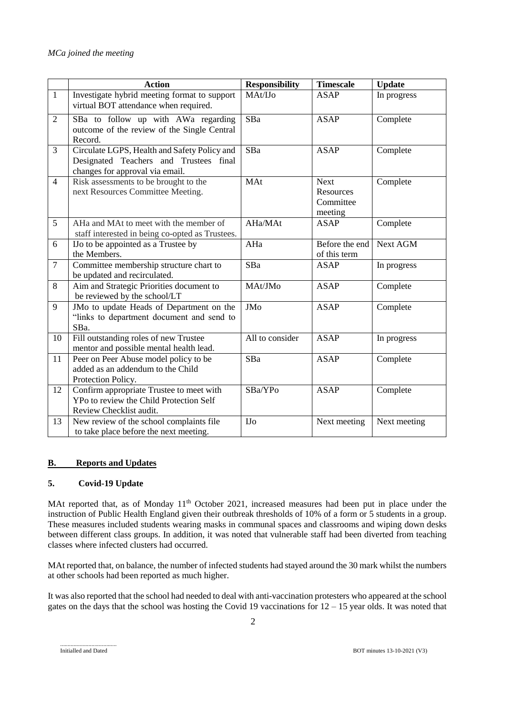|                | <b>Action</b>                                                                                                             | <b>Responsibility</b> | <b>Timescale</b>                                 | <b>Update</b> |
|----------------|---------------------------------------------------------------------------------------------------------------------------|-----------------------|--------------------------------------------------|---------------|
| $\mathbf{1}$   | Investigate hybrid meeting format to support<br>virtual BOT attendance when required.                                     | MAt/IJo               | <b>ASAP</b>                                      | In progress   |
| $\overline{2}$ | SBa to follow up with AWa regarding<br>outcome of the review of the Single Central<br>Record.                             | SBa                   | <b>ASAP</b>                                      | Complete      |
| 3              | Circulate LGPS, Health and Safety Policy and<br>Designated Teachers and Trustees final<br>changes for approval via email. | SBa                   | <b>ASAP</b>                                      | Complete      |
| $\overline{4}$ | Risk assessments to be brought to the<br>next Resources Committee Meeting.                                                | MAt                   | <b>Next</b><br>Resources<br>Committee<br>meeting | Complete      |
| 5              | AHa and MAt to meet with the member of<br>staff interested in being co-opted as Trustees.                                 | AHa/MAt               | ASAP                                             | Complete      |
| 6              | IJo to be appointed as a Trustee by<br>the Members.                                                                       | AHa                   | Before the end<br>of this term                   | Next AGM      |
| $\overline{7}$ | Committee membership structure chart to<br>be updated and recirculated.                                                   | SBa                   | <b>ASAP</b>                                      | In progress   |
| 8              | Aim and Strategic Priorities document to<br>be reviewed by the school/LT                                                  | MAt/JMo               | <b>ASAP</b>                                      | Complete      |
| 9              | JMo to update Heads of Department on the<br>"links to department document and send to<br>SBa.                             | <b>JMo</b>            | <b>ASAP</b>                                      | Complete      |
| 10             | Fill outstanding roles of new Trustee<br>mentor and possible mental health lead.                                          | All to consider       | <b>ASAP</b>                                      | In progress   |
| 11             | Peer on Peer Abuse model policy to be<br>added as an addendum to the Child<br>Protection Policy.                          | SBa                   | <b>ASAP</b>                                      | Complete      |
| 12             | Confirm appropriate Trustee to meet with<br>YPo to review the Child Protection Self<br>Review Checklist audit.            | SBa/YPo               | <b>ASAP</b>                                      | Complete      |
| 13             | New review of the school complaints file<br>to take place before the next meeting.                                        | <b>IJo</b>            | Next meeting                                     | Next meeting  |

## **B. Reports and Updates**

## **5. Covid-19 Update**

MAt reported that, as of Monday 11<sup>th</sup> October 2021, increased measures had been put in place under the instruction of Public Health England given their outbreak thresholds of 10% of a form or 5 students in a group. These measures included students wearing masks in communal spaces and classrooms and wiping down desks between different class groups. In addition, it was noted that vulnerable staff had been diverted from teaching classes where infected clusters had occurred.

MAt reported that, on balance, the number of infected students had stayed around the 30 mark whilst the numbers at other schools had been reported as much higher.

It was also reported that the school had needed to deal with anti-vaccination protesters who appeared at the school gates on the days that the school was hosting the Covid 19 vaccinations for 12 – 15 year olds. It was noted that

......................................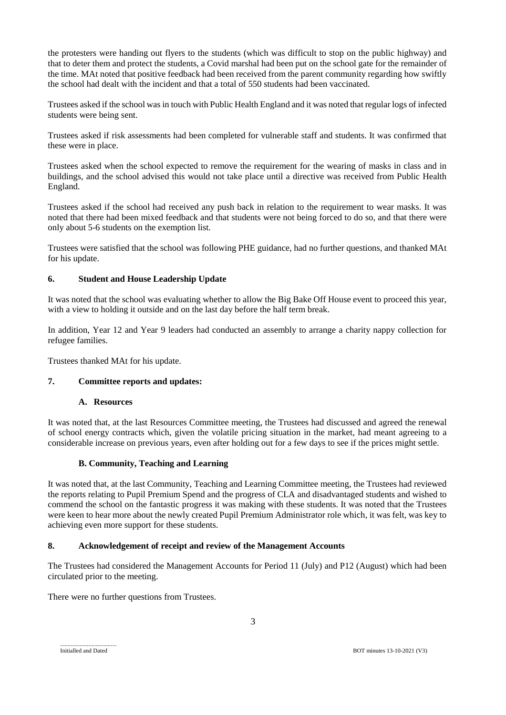the protesters were handing out flyers to the students (which was difficult to stop on the public highway) and that to deter them and protect the students, a Covid marshal had been put on the school gate for the remainder of the time. MAt noted that positive feedback had been received from the parent community regarding how swiftly the school had dealt with the incident and that a total of 550 students had been vaccinated.

Trustees asked if the school was in touch with Public Health England and it was noted that regular logs of infected students were being sent.

Trustees asked if risk assessments had been completed for vulnerable staff and students. It was confirmed that these were in place.

Trustees asked when the school expected to remove the requirement for the wearing of masks in class and in buildings, and the school advised this would not take place until a directive was received from Public Health England.

Trustees asked if the school had received any push back in relation to the requirement to wear masks. It was noted that there had been mixed feedback and that students were not being forced to do so, and that there were only about 5-6 students on the exemption list.

Trustees were satisfied that the school was following PHE guidance, had no further questions, and thanked MAt for his update.

## **6. Student and House Leadership Update**

It was noted that the school was evaluating whether to allow the Big Bake Off House event to proceed this year, with a view to holding it outside and on the last day before the half term break.

In addition, Year 12 and Year 9 leaders had conducted an assembly to arrange a charity nappy collection for refugee families.

Trustees thanked MAt for his update.

#### **7. Committee reports and updates:**

#### **A. Resources**

It was noted that, at the last Resources Committee meeting, the Trustees had discussed and agreed the renewal of school energy contracts which, given the volatile pricing situation in the market, had meant agreeing to a considerable increase on previous years, even after holding out for a few days to see if the prices might settle.

#### **B. Community, Teaching and Learning**

It was noted that, at the last Community, Teaching and Learning Committee meeting, the Trustees had reviewed the reports relating to Pupil Premium Spend and the progress of CLA and disadvantaged students and wished to commend the school on the fantastic progress it was making with these students. It was noted that the Trustees were keen to hear more about the newly created Pupil Premium Administrator role which, it was felt, was key to achieving even more support for these students.

#### **8. Acknowledgement of receipt and review of the Management Accounts**

The Trustees had considered the Management Accounts for Period 11 (July) and P12 (August) which had been circulated prior to the meeting.

There were no further questions from Trustees.

......................................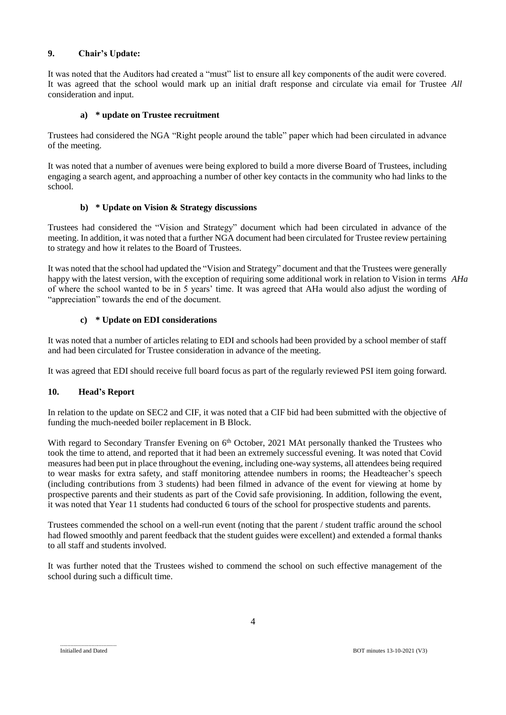# **9. Chair's Update:**

It was noted that the Auditors had created a "must" list to ensure all key components of the audit were covered. It was agreed that the school would mark up an initial draft response and circulate via email for Trustee *All* consideration and input.

## **a) \* update on Trustee recruitment**

Trustees had considered the NGA "Right people around the table" paper which had been circulated in advance of the meeting.

It was noted that a number of avenues were being explored to build a more diverse Board of Trustees, including engaging a search agent, and approaching a number of other key contacts in the community who had links to the school.

## **b) \* Update on Vision & Strategy discussions**

Trustees had considered the "Vision and Strategy" document which had been circulated in advance of the meeting. In addition, it was noted that a further NGA document had been circulated for Trustee review pertaining to strategy and how it relates to the Board of Trustees.

It was noted that the school had updated the "Vision and Strategy" document and that the Trustees were generally happy with the latest version, with the exception of requiring some additional work in relation to Vision in terms *AHa*of where the school wanted to be in 5 years' time. It was agreed that AHa would also adjust the wording of "appreciation" towards the end of the document.

# **c) \* Update on EDI considerations**

It was noted that a number of articles relating to EDI and schools had been provided by a school member of staff and had been circulated for Trustee consideration in advance of the meeting.

It was agreed that EDI should receive full board focus as part of the regularly reviewed PSI item going forward.

## **10. Head's Report**

In relation to the update on SEC2 and CIF, it was noted that a CIF bid had been submitted with the objective of funding the much-needed boiler replacement in B Block.

With regard to Secondary Transfer Evening on 6<sup>th</sup> October, 2021 MAt personally thanked the Trustees who took the time to attend, and reported that it had been an extremely successful evening. It was noted that Covid measures had been put in place throughout the evening, including one-way systems, all attendees being required to wear masks for extra safety, and staff monitoring attendee numbers in rooms; the Headteacher's speech (including contributions from 3 students) had been filmed in advance of the event for viewing at home by prospective parents and their students as part of the Covid safe provisioning. In addition, following the event, it was noted that Year 11 students had conducted 6 tours of the school for prospective students and parents.

Trustees commended the school on a well-run event (noting that the parent / student traffic around the school had flowed smoothly and parent feedback that the student guides were excellent) and extended a formal thanks to all staff and students involved.

It was further noted that the Trustees wished to commend the school on such effective management of the school during such a difficult time.

Initialled and Dated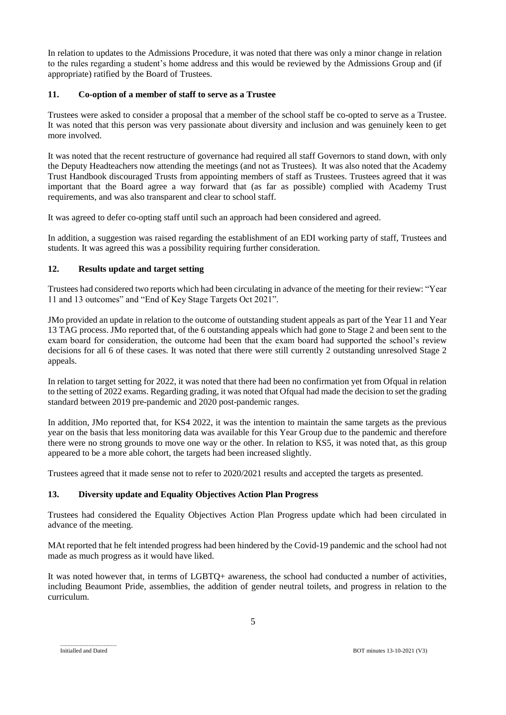In relation to updates to the Admissions Procedure, it was noted that there was only a minor change in relation to the rules regarding a student's home address and this would be reviewed by the Admissions Group and (if appropriate) ratified by the Board of Trustees.

## **11. Co-option of a member of staff to serve as a Trustee**

Trustees were asked to consider a proposal that a member of the school staff be co-opted to serve as a Trustee. It was noted that this person was very passionate about diversity and inclusion and was genuinely keen to get more involved.

It was noted that the recent restructure of governance had required all staff Governors to stand down, with only the Deputy Headteachers now attending the meetings (and not as Trustees). It was also noted that the Academy Trust Handbook discouraged Trusts from appointing members of staff as Trustees. Trustees agreed that it was important that the Board agree a way forward that (as far as possible) complied with Academy Trust requirements, and was also transparent and clear to school staff.

It was agreed to defer co-opting staff until such an approach had been considered and agreed.

In addition, a suggestion was raised regarding the establishment of an EDI working party of staff, Trustees and students. It was agreed this was a possibility requiring further consideration.

# **12. Results update and target setting**

Trustees had considered two reports which had been circulating in advance of the meeting for their review: "Year 11 and 13 outcomes" and "End of Key Stage Targets Oct 2021".

JMo provided an update in relation to the outcome of outstanding student appeals as part of the Year 11 and Year 13 TAG process. JMo reported that, of the 6 outstanding appeals which had gone to Stage 2 and been sent to the exam board for consideration, the outcome had been that the exam board had supported the school's review decisions for all 6 of these cases. It was noted that there were still currently 2 outstanding unresolved Stage 2 appeals.

In relation to target setting for 2022, it was noted that there had been no confirmation yet from Ofqual in relation to the setting of 2022 exams. Regarding grading, it was noted that Ofqual had made the decision to set the grading standard between 2019 pre-pandemic and 2020 post-pandemic ranges.

In addition, JMo reported that, for KS4 2022, it was the intention to maintain the same targets as the previous year on the basis that less monitoring data was available for this Year Group due to the pandemic and therefore there were no strong grounds to move one way or the other. In relation to KS5, it was noted that, as this group appeared to be a more able cohort, the targets had been increased slightly.

Trustees agreed that it made sense not to refer to 2020/2021 results and accepted the targets as presented.

## **13. Diversity update and Equality Objectives Action Plan Progress**

Trustees had considered the Equality Objectives Action Plan Progress update which had been circulated in advance of the meeting.

MAt reported that he felt intended progress had been hindered by the Covid-19 pandemic and the school had not made as much progress as it would have liked.

It was noted however that, in terms of LGBTQ+ awareness, the school had conducted a number of activities, including Beaumont Pride, assemblies, the addition of gender neutral toilets, and progress in relation to the curriculum.

......................................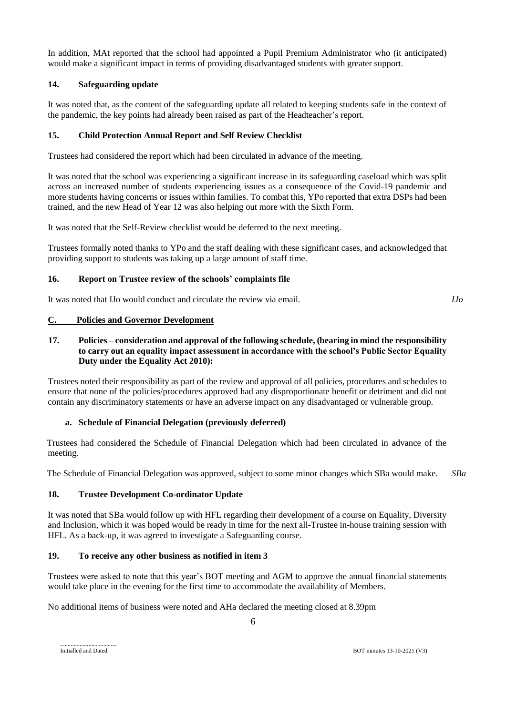In addition, MAt reported that the school had appointed a Pupil Premium Administrator who (it anticipated) would make a significant impact in terms of providing disadvantaged students with greater support.

# **14. Safeguarding update**

It was noted that, as the content of the safeguarding update all related to keeping students safe in the context of the pandemic, the key points had already been raised as part of the Headteacher's report.

## **15. Child Protection Annual Report and Self Review Checklist**

Trustees had considered the report which had been circulated in advance of the meeting.

It was noted that the school was experiencing a significant increase in its safeguarding caseload which was split across an increased number of students experiencing issues as a consequence of the Covid-19 pandemic and more students having concerns or issues within families. To combat this, YPo reported that extra DSPs had been trained, and the new Head of Year 12 was also helping out more with the Sixth Form.

It was noted that the Self-Review checklist would be deferred to the next meeting.

Trustees formally noted thanks to YPo and the staff dealing with these significant cases, and acknowledged that providing support to students was taking up a large amount of staff time.

## **16. Report on Trustee review of the schools' complaints file**

It was noted that IJo would conduct and circulate the review via email.

### **C. Policies and Governor Development**

### **17. Policies – consideration and approval of the following schedule, (bearing in mind the responsibility to carry out an equality impact assessment in accordance with the school's Public Sector Equality Duty under the Equality Act 2010):**

Trustees noted their responsibility as part of the review and approval of all policies, procedures and schedules to ensure that none of the policies/procedures approved had any disproportionate benefit or detriment and did not contain any discriminatory statements or have an adverse impact on any disadvantaged or vulnerable group.

## **a. Schedule of Financial Delegation (previously deferred)**

Trustees had considered the Schedule of Financial Delegation which had been circulated in advance of the meeting.

The Schedule of Financial Delegation was approved, subject to some minor changes which SBa would make. *SBa*

## **18. Trustee Development Co-ordinator Update**

It was noted that SBa would follow up with HFL regarding their development of a course on Equality, Diversity and Inclusion, which it was hoped would be ready in time for the next all-Trustee in-house training session with HFL. As a back-up, it was agreed to investigate a Safeguarding course.

## **19. To receive any other business as notified in item 3**

Trustees were asked to note that this year's BOT meeting and AGM to approve the annual financial statements would take place in the evening for the first time to accommodate the availability of Members.

No additional items of business were noted and AHa declared the meeting closed at 8.39pm

......................................

*IJo*